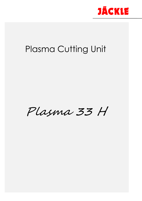

# Plasma Cutting Unit

Plasma 33 H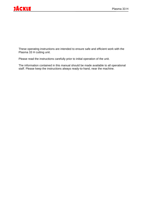

These operating instructions are intended to ensure safe and efficient work with the Plasma 33 H cutting unit.

Please read the instructions carefully prior to initial operation of the unit.

The information contained in this manual should be made available to all operational staff. Please keep the instructions always ready-to-hand, near the machine.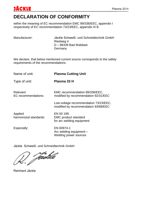

### **DECLARATION OF CONFORMITY**

within the meaning of EC recommendation EMC 89/336/EEC, appendix I respectively of EC recommendation 73/23/EEC, appendix III B

| Manufacturer: | Jäckle Schweiß- und Schneidtechnik GmbH |
|---------------|-----------------------------------------|
|               | Riedweg 4                               |
|               | D-88339 Bad Waldsee                     |
|               | Germany                                 |

We declare, that below mentioned current source corresponds to the safety requirements of the recommendations.

| Name of unit:                    | <b>Plasma Cutting Unit</b>                                                    |
|----------------------------------|-------------------------------------------------------------------------------|
| Type of unit:                    | Plasma 33 H                                                                   |
| Relevant<br>EC recommendations:  | EMC recommendation 89/336/EEC,<br>modified by recommendation 92/31/EEC        |
|                                  | Low-voltage recommendation 73/23/EEC,<br>modified by recommendation 93/68/EEC |
| Applied<br>harmonized standards: | EN 50 199<br><b>EMC</b> product standard<br>for arc welding equipment         |
| Especially:                      | EN 60974-1<br>Arc welding equipment -<br>Welding power sources                |

Jäckle Schweiß- und Schneidtechnik GmbH

Jächle

Reinhard Jäckle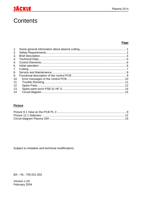#### Plasma 33 H

# <u>JÄCKLE</u>

## **Contents**

#### Page

| 2.  |  |
|-----|--|
| 3.  |  |
| 4.  |  |
| 5.  |  |
| 6.  |  |
| 7.  |  |
| 8.  |  |
| 9.  |  |
| 10. |  |
| 11. |  |
| 12. |  |
| 13. |  |
| 14. |  |

#### **Picture**

Subject to mistakes and technical modifications

BA - Nr.: 700.021.002

Version 1.03 February 2004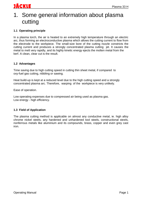### 1. Some general information about plasma cutting

#### **1.1 Operating principle**

In a plasma torch, the air is heated to an extremely high temperature through an electric arc, thus forming an electroconductive plasma which allows the cutting current to flow from the electrode to the workpiece. The small-size bore of the cutting nozzle constricts the cutting current and produces a strongly concentrated plasma cutting jet. It causes the metal to melt very rapidly, and its highly kinetic energy ejects the molten metal from the kerf. A clean, clear cut is the result.

#### **1.2 Advantages**

Time saving due to high cutting speed in cutting thin sheet metal, if compared to oxy-fuel gas cutting, nibbling or sawing.

Heat build-up is kept at a reduced level due to the high cutting speed and a strongly concentrated plasma arc. Therefore, warping of the workpiece is very unlikely.

Ease of operation.

Low operating expenses due to compressed air being used as plasma gas. Low energy - high efficiency.

#### **1.3 Field of Application**

The plasma cutting method is applicable on almost any conductive metal, ie. high alloy chrome nickel steels, any hardened and unhardened tool steels, constructional steels, nonferrous metals like aluminium and its compounds, brass, copper and even grey cast iron.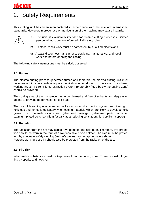# 2. Safety Requirements

This cutting unit has been manufactured in accordance with the relevant international standards. However, improper use or manipulation of the machine may cause hazards.

- a) The unit is exclusively intended for plasma cutting processes. Service personnel must be duly informed of all safety rules.
- b) Electrical repair work must be carried out by qualified electricians.
- c) Always disconnect mains prior to servicing, maintenance, and repair work and before opening the casing.

The following safety instructions must be strictly observed:

#### **2.1 Fumes**

JACKUE

The plasma cutting process generates fumes and therefore the plasma cutting unit must be operated in areas with adequate ventilation or outdoors. In the case of enclosed working areas, a strong fume extraction system (preferably fitted below the cutting zone) should be provided.

The cutting area of the workpiece has to be cleaned and free of solvants and degreasing agents to prevent the formation of toxic gas.

The use of breathing equipment as well as a powerful extraction system and filtering of toxic gas and fumes is obligatory when cutting materials which are likely to develope toxic gases. Such materials include lead (also lead coatings), galvanized parts, cadmium, cadmium-plated bolts, beryllium (usually as an alloying constituent, ie. beryllium copper).

#### **2.2 Radiation**

The radiation from the arc may cause eye damage and skin burn. Therefore, eye protection should be worn in the form of a welder's shield or a helmet. The skin must be protected by adequate safety clothing (welder's gloves, leather apron, safety shoes). Persons working close by should also be protected from the radiation of the arc.

#### **2.3 Fire risk**

Inflammable substances must be kept away from the cutting zone. There is a risk of igniting by sparks and hot slag.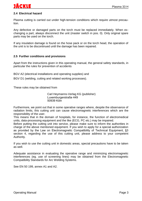#### **2.4 Electrical hazard**

Plasma cutting is carried out under high-tension conditions which require utmost precaution.

Any defective or damaged parts on the torch must be replaced immediately. When exchanging a part, always disconnect the unit (master switch in pos. 0). Only original spare parts may be used on the torch.

If any insulation damage is found on the hose pack or on the torch head, the operation of the unit is to be discontinued until the damage has been repaired.

#### **2.5 Further conditions and provisions**

Apart from the instructions given in this operating manual, the general safety standards, in particular the rules for prevention of accidents

BGV A2 (electrical installations and operating supplies) and

BGV D1 (welding, cutting and related working processes).

These rules may be obtained from

Carl Heymanns-Verlag KG (publisher) Luxemburgerstraße 449 50939 Köln

Furthermore, we point out that in some operative ranges where, despite the observance of radiation limits, this cutting unit can cause electromagnetic interferences which are the responsibility of the user.

This means that in the domain of hospitals, for instance, the function of electromedical units, data-processing equipment and the like (ECG, PC etc.) may be impaired.

Before putting the cutting unit into service, please make sure to inform the authorities in charge of the above mentioned equipment. If you wish to apply for a special authorization as provided by the Law on Electromagnetic Compatibility of Technical Equipment, §3 section 4, regarding the use of this cutting unit, please address to your competent Authority.

If you wish to use the cutting unit in domestic areas, special precautions have to be taken as well.

Adequate assistance in evaluating the operative range and minimizing electromagnetic interferences (eg. use of screening lines) may be obtained from the Electromagnetic Compatibility Standards for Arc Welding Systems.

See EN 50 199, annex A1 and A2.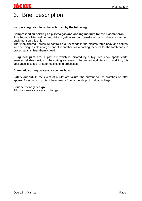# 3. Brief description

#### **Its operating priciple is characterized by the following:**

#### **Compressed air serving as plasma gas and cooling medium for the plasma torch**

A high-grade filter welding regulator together with a downstream micro filter are standard equipment on this unit.

The finely filtered, pressure-controlled air expands in the plasma torch body and serves, for one thing, as plasma gas and, for another, as a cooling medium for the torch body to protect against high thermic load.

**HF-ignited pilot arc.** A pilot arc which is initiated by a high-frequency spark starter ensures reliable ignition of the cutting arc even on lacquered workpieces. In addition, this appliance is suited for automatic cutting processes.

**Automatic cutting process** via control board**.**

Safety cut-out. In the event of a pilot-arc failure, the current source switches off after approx. 2 seconds to protect the operator from a build-up of no-load voltage.

#### **Service friendly design.**

All components are easy to change.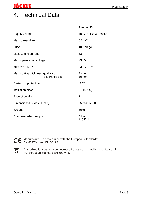### 4. Technical Data

|                                                      | Plasma 33 H                       |
|------------------------------------------------------|-----------------------------------|
| Supply voltage                                       | 400V, 50Hz, 3 Phasen              |
| Max. power draw                                      | 5,5 kVA                           |
| Fuse                                                 | 10 A träge                        |
| Max. cutting current                                 | 33 A                              |
| Max. open-circuit voltage                            | 230 V                             |
| duty cycle 50 %                                      | 33 A / 92 V                       |
| Max. cutting thickness, quality cut<br>severance cut | $7 \text{ mm}$<br>$10 \text{ mm}$ |
| System of protection                                 | <b>IP 23</b>                      |
| Insulation class                                     | $H(180^{\circ} C)$                |
| Type of cooling                                      | F                                 |
| Dimensions L x W x H (mm)                            | 350x230x350                       |
| Weight                                               | 30kg                              |
| Compressed-air supply                                | 5 bar<br>110 l/min                |



Manufactured in accordance with the European Standards: EN 60974-1 and EN 50199 in accordance with



Authorized for cutting under increased electrical hazard in accordance with the European Standard EN 60974-1.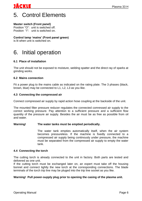# JACKLE

### 5. Control Elements

#### **Master switch (Front panel)**

Position "O": unit is switched off. Position "I": unit is switched on.

#### **Control lamp 'mains' (Front panel green)**

is lit when unit is switched on.

### 6. Initial operation

#### **6.1 Place of installation**

The unit should not be exposed to moisture, welding spatter and the direct ray of sparks at grinding works.

#### **6.2 Mains connection**

Fit a power plug to the mains cable as indicated on the rating plate. The 3 phases (black, brown, blue) may be connected to L1, L2, L3 as you like.

#### **4.3 Connecting the compressed air**

Connect compressed air supply by rapid action hose coupling at the backside of the unit.

The mounted filter pressure reducer regulates the connected comressed air supply to the correct working pressure. Pay attention to a sufficient pressure and a sufficient flow quantity of the pressure air supply. Besides the air must be as free as possible from oil and water.

#### **Warning! The water tanks must be emptied periodically.**

The water tank empties automatically itself, when the air system becomes pressureless. If the machine is fixedly connected to a compressed air supply being continously under pressure, the machine must be separated from the compressed air supply to empty the water tank.

#### **4.4 Connecting the torch**

The cutting torch is already connected to the unit in factory. Both parts are tested and delivered as one unit.

If the cutting torch must be exchanged later on, an expert must take off the housing bonnet and connect tightly the new torch at the corresponding connections. The blade terminals of the torch trip line may be pluged into the trip line socket as you like.

#### **Warning! Pull power-supply plug prior to opening the casing of the plasma unit.**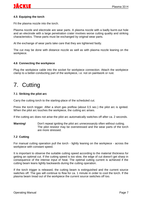#### **4.5 Equiping the torch**

Fit the plasma nozzle into the torch.

Plasma nozzle and electrode are wear parts. A plasma nozzle with a badly burnt-out hole and an electrode with a large penetration crater involves worse cutting quality and striking characteristics. These parts must be exchanged by original wear parts.

At the exchange of wear parts take care that they are tightened fastly.

The cut may be done with distance nozzle as well as with plasma nozzle leaning on the workpiece.

#### **4.6 Connecting the workpiece**

Plug the workpiece cable into the socket for workpiece connection. Attach the workpiece clamp to a better-conducting part of the workpiece, i.e. not on paintwork or rust.

### 7. Cutting

#### **7.1 Striking the pilot arc**

Carry the cutting torch to the starting-place of the scheduled cut.

Press the torch trigger. After a short gas preflow (about 0,5 sec.) the pilot arc is ignited. When the pilot arc touches the workpiece, the cutting arc arises.

If the cutting arc does not arise the pilot arc automatically switches off after ca. 2 seconds.

**Warning!** Don't repeat igniting the pilot arc unnecessaryly often without cutting. The pilot resistor may be overstressed and the wear parts of the torch are more stressed.

#### **7.2 Cutting**

For manual cutting operation pull the torch - lightly leaning on the workpiece - across the workpiece with constant speed.

It is important to observe the suitable cutting speed according to the material thickness for getting an optimal cut. If the cutting speed is too slow, the edge of cut doesn't get sharp in consequence of the intense input of heat. The optimal cutting current is achieved if the cutting beam leans lightly backwards during the cutting operation.

If the torch trigger is released, the cutting beam is extinguished and the current source switches off. The gas will continue to flow for ca. 1 minute in order to cool the torch. If the plasma beam tread out of the workpiece the current source switches off too.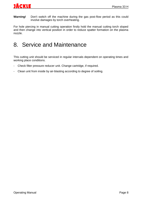**Warning!** Don't switch off the machine during the gas post-flow period as this could involve damages by torch overheating.

For hole piercing in manual cutting operation firstly hold the manual cutting torch sloped and then change into vertical position in order to reduce spatter formation on the plasma nozzle.

### 8. Service and Maintenance

This cutting unit should be serviced in regular intervals dependent on operating times and working place conditions.

- Check filter pressure reducer unit. Change cartridge, if required.
- Clean unit from inside by air-blasting according to degree of soiling.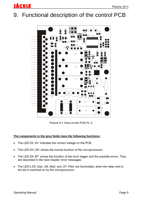# 9. Functional description of the control PCB



Picture 9.1 View on the PCB PL 3

#### **The components in the grey fields have the following functions:**

- The LED D2,5V' indicates the correct voltage on the PCB.
- The LED D3, OK' shows the normal function of the microprocessor.
- The LED D4, BT' shows the function of the torch trigger and the possible errors. They are described in the next chapter 'error messages'.
- The LED's D5, Gas', D6, Netz' and, D7, Pilot' are illuminated, when the relay next to the led is switched on by the microprocessor.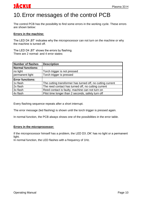### 10.Error messages of the control PCB

The control PCB has the possibility to find some errors in the working cycle. These errors are shown below:

#### **Errors in the machine:**

The LED D4, BT' indicates why the microprocessor can not turn on the machine or why the machine is turned off.

The LED D4, BT' shows the errors by flashing. There are 2 normal- and 4 error states:

| Number of flashes       | <b>Description</b>                                         |
|-------------------------|------------------------------------------------------------|
| Normal functions:       |                                                            |
| no light                | Torch trigger is not pressed                               |
| permanent light         | Torch trigger is pressed                                   |
| <b>Error functions:</b> |                                                            |
| 1x flash                | The cutting transformer has turned off, no cutting current |
| 2x flash                | The reed contact has turned off, no cutting current        |
| 3x flash                | Reed contact is faulty, machine can not turn on            |
| 4x flash                | Pilot time longer than 2 seconds, safety turn off          |

Every flashing sequence repeats after a short interrupt.

The error message (led flashing) is shown until the torch trigger is pressed again.

In normal function, the PCB always shows one of the possibilities in the error table.

#### **Errors in the microprocessor:**

If the microprocessor himself has a problem, the LED D3, OK' has no light or a permanent light.

In normal function, the LED flashes with a frequency of 1Hz.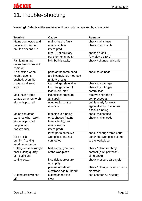### 11.Trouble-Shooting

**Warning!** Defects at the electrical unit may only be repaired by a specialist.

| <b>Trouble</b>           | <b>Cause</b>             | Remedy                       |
|--------------------------|--------------------------|------------------------------|
| Mains connected and      | mains fuse is faulty     | check mains fuse             |
| main switch turned       | mains cable is           | check mains cable            |
| on / fan doesn't run     | interrupted              |                              |
|                          | fuse F1 at auxiliary     | change fuse F1               |
|                          | transformer is faulty    | (2 A slow / 250 V)           |
| Fan is running /         | light bulb is faulty     | check / change light bulb    |
| mains lamp does not      |                          |                              |
| come on                  |                          |                              |
| No function when         | parts at the torch head  | check torch head             |
| torch trigger is         | are incompletely mounted |                              |
| pushed, even the         | (safety circuit)         |                              |
| contactor doesn't        | torch trigger defective  | check torch trigger          |
| switch                   | torch trigger control    | check torch trigger          |
|                          | lead interrupted         | control lead                 |
| <b>Malfunction lamp</b>  | insufficient pressure    | remove shortage of           |
| comes on when torch      | air supply               | compressed air               |
| trigger is pushed        | overheating of the       | unit is ready for work       |
|                          | machine                  | again after ca. 5 minutes    |
|                          |                          | if fan is running            |
| Mains contactor          | machine is running       | check mains fuse             |
| switches when torch      | on 2 phases (mains       | check mains leads            |
| trigger is pushed,       | fuse is faulty, one      |                              |
| but pilot arc            | mains lead is            |                              |
| doesn't arise            | interrupted)             |                              |
|                          | torch parts defective    | check / change torch parts   |
| Pilot arc is             | workpiece lead not       | attach the workpiece clamp   |
| burning / cutting        | connected                | to the workpiece             |
| arc does not arise       |                          |                              |
| Cutting arc is burning / | bad earthing contact     | check / clean earthing       |
| poor cutting quality     | at the workpiece         | contact (rust, paintwork,    |
| or insufficient          |                          | oil, grease)                 |
| cutting power            | insufficient pressure    | check pressure air supply    |
|                          | air supply               |                              |
|                          | plasma nozzle or         | check / change plasma nozzle |
|                          | electrode has burnt out  | electrode                    |
| Cutting arc switches     | cutting speed too        | see chapter 7.2 Cutting      |
| off                      | slow                     |                              |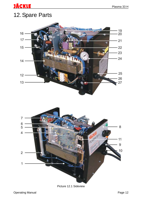# 12.Spare Parts

<u>JÄCKLE</u>





Picture 12.1 Sideview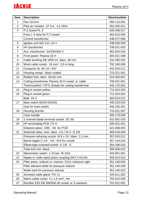| Item.          | <b>Description</b>                                     | <b>Stocknumber</b> |
|----------------|--------------------------------------------------------|--------------------|
| 1              | Fan 121mm                                              | 450.115.001        |
| $\overline{2}$ | Pilot arc resistor LP 3-4 4,1 Ohm                      | 452.040.011        |
| 4              | P.C.board PL 3                                         | 600.008.017        |
|                | Fuse 1 A slow for P.C.board                            | 464.010.005        |
|                | <b>Current transformer</b>                             | 438.077.006        |
| 5              | Ignition unit SIG 3.6 / 24 V                           | 438.036.009        |
| 6              | <b>HF</b> transformer                                  | 706.021.003        |
| $\overline{7}$ | Aux. transformer 24/230/400 V                          | 462.024.018        |
| 8              | Front panel Plasma 33 H                                | 304.021.008        |
| 9              | Cable bushing SB 1093-14 diam. 28 mm                   | 310.285.032        |
| 10             | Work cable compl. 16 mm <sup>2</sup> , 3,5 m long      | 702.160.006        |
| 11             | Contactor DL 4K-10 / 24V                               | 442.024.011        |
| 12             | Housing compl., black coated                           | 715.021.001        |
| 13             | Rubber foot, diam. 35x32 mm                            | 310.350.001        |
| 14             | Cutting transformer Plasma 33 H compl. w. cable        | 706.021.001        |
|                | Thermoswitch 170°C (break) for cutting transformer     | 445.170.002        |
| 15             | Plug-in socket yellow                                  | 712.024.004        |
| 16             | Plug-in socket green                                   | 712.024.002        |
|                | Bulb 24 V                                              | 463.024.012        |
| 17             | Main switch M225-645235                                | 440.220.033        |
|                | Grip for main switch                                   | 440.225.051        |
| 18             | Housing bonnet                                         | 715.021.007        |
|                | Case handle                                            | 305.179.005        |
| 19             | 2 channel blade terminal socket DC 68                  | 410.002.020        |
| 20             | HF terminating PCB P1-H                                | 600.021.001        |
|                | Distance piece CBS - 9A for PCB                        | 421.008.005        |
| 21             | Solenoid valve, nom. diam. 2,5 / 24 V G 1/8            | 465.018.006        |
|                | Pressure reducing nozzle M 8 x 10 / diam. 1,3 mm       | 357.810.012        |
|                | Barrel nipple G 1/4 - 1/4 - M 8 for nozzle             | 357.144.015        |
|                | Elbow-type screwed socket G 1/8 - 6                    | 354.186.016        |
|                | Tube 6x3 mm, black                                     | 356.006.022        |
| 22             | Manometric switch 1-10 bar M 10x1                      | 444.001.001        |
| 23             | Nipple w. male rapid action coupling DN7,2-G1/4A       | 355.014.010        |
| 24             | Filter press. reducer w. manom. G1/4, entrance right   | 351.140.004        |
|                | Filter element white for pressure reducer              | 351.140.028        |
|                | Water tank for pressure reducer                        | 351.140.022        |
| 25             | Screwed cable gland PG 11                              | 420.011.002        |
| 26             | Mains cable compl. $4 \times 1.5$ mm <sup>2</sup> , 4m | 704.015.006        |
| 27             | Rectifier E50 DB 380/500-40 compl. w. 6 varistors      | 701.021.001        |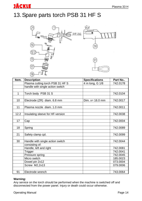# 13.Spare parts torch PSB 31 HF S

**JÄCKLE** 



| Item. | <b>Description</b>               | <b>Specifications</b> | Part No  |
|-------|----------------------------------|-----------------------|----------|
|       | Plasma cutting torch PSB 31 HF S | 4 m long, G 1/8       | 742.0178 |
|       | handle with single action switch |                       |          |
|       |                                  |                       |          |
| 1     | Torch body PSB 31 S              |                       | 742.0104 |
|       |                                  |                       |          |
| 10    | Electrode (ZR) diam. 6.8 mm      | Dim. $x = 16.0$ mm    | 742.0017 |
|       |                                  |                       |          |
| 11    | Plasma nozzle diam. 1.0 mm       |                       | 742.0011 |
|       |                                  |                       |          |
| 12.2  | Insulating sleeve for HF-version |                       | 742.0038 |
|       |                                  |                       |          |
| 17    | Cap                              |                       | 742.0004 |
|       |                                  |                       |          |
| 18    | Spring                           |                       | 742.0089 |
|       |                                  |                       |          |
| 21    | Safety clamp cpl.                |                       | 742.0099 |
|       |                                  |                       |          |
| 30    | Handle with single action switch |                       | 742.0044 |
|       | consisting of:                   |                       |          |
|       | Handle, left and right           |                       | 742.0081 |
|       | Trigger                          |                       | 742.0041 |
|       | Pressure spring                  |                       | 742.0045 |
|       | Micro switch                     |                       | 185.0023 |
|       | Dowel pin 2x12                   |                       | 073.0004 |
|       | Screw M2,2x13                    |                       | 079.0006 |
|       |                                  |                       |          |
| 91    | Electrode wrench                 |                       | 743.0064 |

#### **Warning:**

Any service on the torch should be performed when the machine is switched off and disconnected from the power panel. Injury or death could occur otherwise.